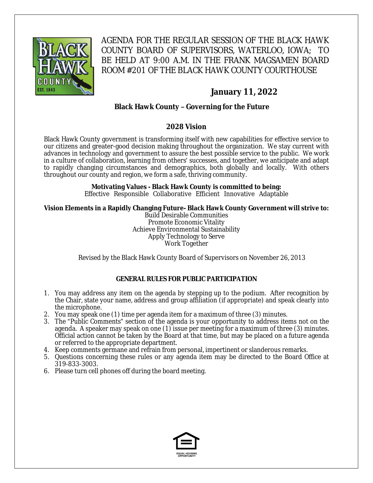

AGENDA FOR THE REGULAR SESSION OF THE BLACK HAWK COUNTY BOARD OF SUPERVISORS, WATERLOO, IOWA; TO BE HELD AT 9:00 A.M. IN THE FRANK MAGSAMEN BOARD ROOM #201 OF THE BLACK HAWK COUNTY COURTHOUSE

# **January 11, 2022**

# **Black Hawk County – Governing for the Future**

## **2028 Vision**

Black Hawk County government is transforming itself with new capabilities for effective service to our citizens and greater-good decision making throughout the organization. We stay current with advances in technology and government to assure the best possible service to the public. We work in a culture of collaboration, learning from others' successes, and together, we anticipate and adapt to rapidly changing circumstances and demographics, both globally and locally. With others throughout our county and region, we form a safe, thriving community.

#### **Motivating Values - Black Hawk County is committed to being:**

Effective Responsible Collaborative Efficient Innovative Adaptable

#### **Vision Elements in a Rapidly Changing Future- Black Hawk County Government will strive to:**

Build Desirable Communities Promote Economic Vitality Achieve Environmental Sustainability Apply Technology to Serve Work Together

Revised by the Black Hawk County Board of Supervisors on November 26, 2013

#### **GENERAL RULES FOR PUBLIC PARTICIPATION**

- 1. You may address any item on the agenda by stepping up to the podium. After recognition by the Chair, state your name, address and group affiliation (if appropriate) and speak clearly into the microphone.
- 2. You may speak one (1) time per agenda item for a maximum of three (3) minutes.
- 3. The "Public Comments" section of the agenda is your opportunity to address items not on the agenda. A speaker may speak on one (1) issue per meeting for a maximum of three (3) minutes. Official action cannot be taken by the Board at that time, but may be placed on a future agenda or referred to the appropriate department.
- 4. Keep comments germane and refrain from personal, impertinent or slanderous remarks.
- 5. Questions concerning these rules or any agenda item may be directed to the Board Office at 319-833-3003.
- 6. Please turn cell phones off during the board meeting.

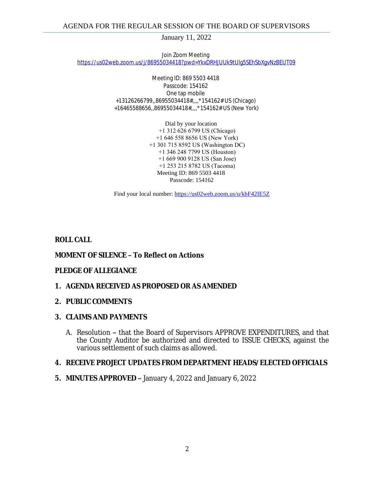January 11, 2022

Join Zoom Meeting [https://us02web.zoom.us/j/86955034418?pwd=YkxDRHJUUk9tUlg5SEhSbXgvNzBEUT09](https://gcc02.safelinks.protection.outlook.com/?url=https%3A%2F%2Fus02web.zoom.us%2Fj%2F86955034418%3Fpwd%3DYkxDRHJUUk9tUlg5SEhSbXgvNzBEUT09&data=04%7C01%7Cllamb%40blackhawkcounty.iowa.gov%7C711f62632fce4c3a570408d9d055bc4e%7C9960f5b6faae4bb3a122c43aceeaa06d%7C0%7C0%7C637769888942638992%7CUnknown%7CTWFpbGZsb3d8eyJWIjoiMC4wLjAwMDAiLCJQIjoiV2luMzIiLCJBTiI6Ik1haWwiLCJXVCI6Mn0%3D%7C3000&sdata=rlrmD0tohen6Ci6hqFsHVfIzU0nu1QBO%2FztFnWAdJmQ%3D&reserved=0)

> Meeting ID: 869 5503 4418 Passcode: 154162 One tap mobile +13126266799,,86955034418#,,,,\*154162# US (Chicago) +16465588656,,86955034418#,,,,\*154162# US (New York)

> > Dial by your location +1 312 626 6799 US (Chicago) +1 646 558 8656 US (New York) +1 301 715 8592 US (Washington DC) +1 346 248 7799 US (Houston) +1 669 900 9128 US (San Jose) +1 253 215 8782 US (Tacoma) Meeting ID: 869 5503 4418 Passcode: 154162

Find your local number: [https://us02web.zoom.us/u/kbF42IE5Z](https://gcc02.safelinks.protection.outlook.com/?url=https%3A%2F%2Fus02web.zoom.us%2Fu%2FkbF42IE5Z&data=04%7C01%7Cllamb%40blackhawkcounty.iowa.gov%7C711f62632fce4c3a570408d9d055bc4e%7C9960f5b6faae4bb3a122c43aceeaa06d%7C0%7C0%7C637769888942638992%7CUnknown%7CTWFpbGZsb3d8eyJWIjoiMC4wLjAwMDAiLCJQIjoiV2luMzIiLCJBTiI6Ik1haWwiLCJXVCI6Mn0%3D%7C3000&sdata=iZ7dMAAFN8NVmussTUINvQgOmDE2taYOou5lafvAYKk%3D&reserved=0)

## **ROLL CALL**

#### **MOMENT OF SILENCE – To Reflect on Actions**

#### **PLEDGE OF ALLEGIANCE**

#### **1. AGENDA RECEIVED AS PROPOSED OR AS AMENDED**

#### **2. PUBLIC COMMENTS**

#### **3. CLAIMS AND PAYMENTS**

A. Resolution **–** that the Board of Supervisors APPROVE EXPENDITURES, and that the County Auditor be authorized and directed to ISSUE CHECKS, against the various settlement of such claims as allowed.

#### **4. RECEIVE PROJECT UPDATES FROM DEPARTMENT HEADS/ELECTED OFFICIALS**

**5. MINUTES APPROVED –** January 4, 2022 and January 6, 2022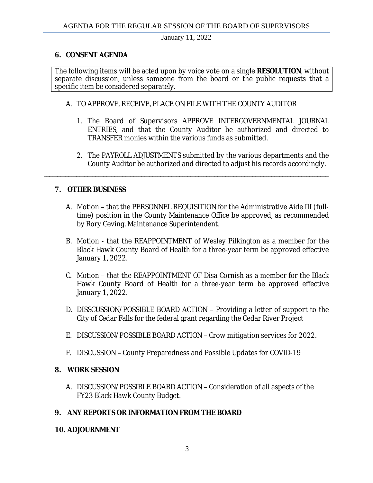January 11, 2022

## **6. CONSENT AGENDA**

The following items will be acted upon by voice vote on a single **RESOLUTION**, without separate discussion, unless someone from the board or the public requests that a specific item be considered separately.

## A. TO APPROVE, RECEIVE, PLACE ON FILE WITH THE COUNTY AUDITOR

\_\_\_\_\_\_\_\_\_\_\_\_\_\_\_\_\_\_\_\_\_\_\_\_\_\_\_\_\_\_\_\_\_\_\_\_\_\_\_\_\_\_\_\_\_\_\_\_\_\_\_\_\_\_\_\_\_\_\_\_\_\_\_\_\_\_\_\_\_\_\_\_\_\_\_\_\_\_\_\_\_\_\_\_\_\_\_\_\_\_\_\_\_\_\_\_\_\_\_\_\_\_\_\_\_

- 1. The Board of Supervisors APPROVE INTERGOVERNMENTAL JOURNAL ENTRIES, and that the County Auditor be authorized and directed to TRANSFER monies within the various funds as submitted.
- 2. The PAYROLL ADJUSTMENTS submitted by the various departments and the County Auditor be authorized and directed to adjust his records accordingly.

## **7. OTHER BUSINESS**

- A. Motion that the PERSONNEL REQUISITION for the Administrative Aide III (fulltime) position in the County Maintenance Office be approved, as recommended by Rory Geving, Maintenance Superintendent.
- B. Motion that the REAPPOINTMENT of Wesley Pilkington as a member for the Black Hawk County Board of Health for a three-year term be approved effective January 1, 2022.
- C. Motion that the REAPPOINTMENT OF Disa Cornish as a member for the Black Hawk County Board of Health for a three-year term be approved effective January 1, 2022.
- D. DISSCUSSION/POSSIBLE BOARD ACTION Providing a letter of support to the City of Cedar Falls for the federal grant regarding the Cedar River Project
- E. DISCUSSION/POSSIBLE BOARD ACTION Crow mitigation services for 2022.
- F. DISCUSSION County Preparedness and Possible Updates for COVID-19

## **8. WORK SESSION**

A. DISCUSSION/POSSIBLE BOARD ACTION – Consideration of all aspects of the FY23 Black Hawk County Budget.

## **9. ANY REPORTS OR INFORMATION FROM THE BOARD**

## **10. ADJOURNMENT**